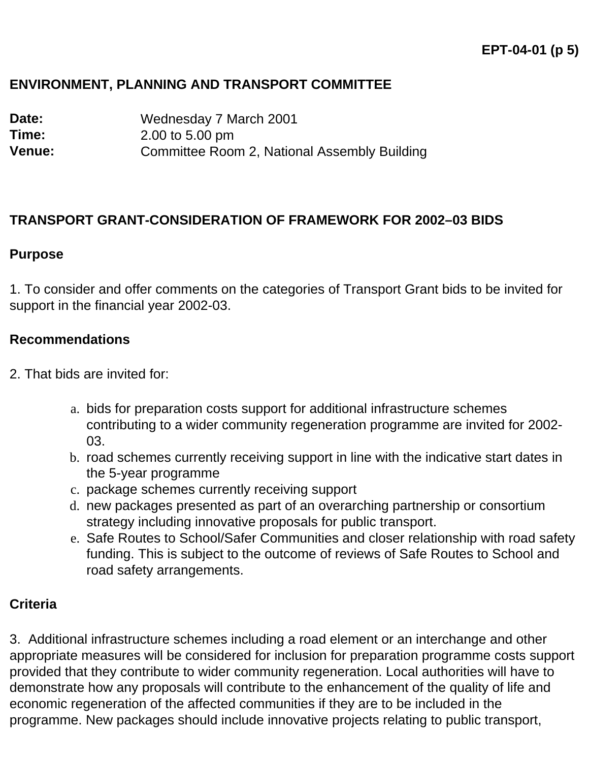## **ENVIRONMENT, PLANNING AND TRANSPORT COMMITTEE**

**Date:** Wednesday 7 March 2001 **Time:** 2.00 to 5.00 pm **Venue:** Committee Room 2, National Assembly Building

#### **TRANSPORT GRANT-CONSIDERATION OF FRAMEWORK FOR 2002–03 BIDS**

#### **Purpose**

1. To consider and offer comments on the categories of Transport Grant bids to be invited for support in the financial year 2002-03.

#### **Recommendations**

- 2. That bids are invited for:
	- a. bids for preparation costs support for additional infrastructure schemes contributing to a wider community regeneration programme are invited for 2002- 03.
	- b. road schemes currently receiving support in line with the indicative start dates in the 5-year programme
	- c. package schemes currently receiving support
	- d. new packages presented as part of an overarching partnership or consortium strategy including innovative proposals for public transport.
	- e. Safe Routes to School/Safer Communities and closer relationship with road safety funding. This is subject to the outcome of reviews of Safe Routes to School and road safety arrangements.

## **Criteria**

3. Additional infrastructure schemes including a road element or an interchange and other appropriate measures will be considered for inclusion for preparation programme costs support provided that they contribute to wider community regeneration. Local authorities will have to demonstrate how any proposals will contribute to the enhancement of the quality of life and economic regeneration of the affected communities if they are to be included in the programme. New packages should include innovative projects relating to public transport,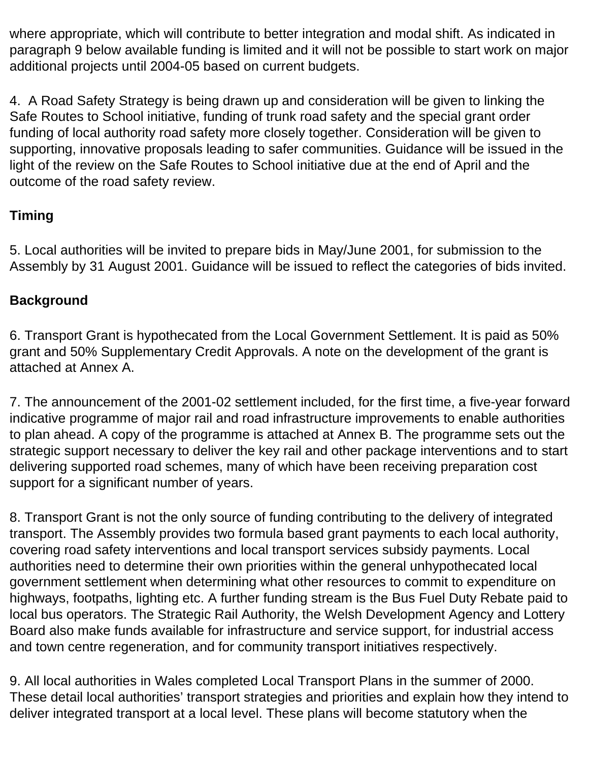where appropriate, which will contribute to better integration and modal shift. As indicated in paragraph 9 below available funding is limited and it will not be possible to start work on major additional projects until 2004-05 based on current budgets.

4. A Road Safety Strategy is being drawn up and consideration will be given to linking the Safe Routes to School initiative, funding of trunk road safety and the special grant order funding of local authority road safety more closely together. Consideration will be given to supporting, innovative proposals leading to safer communities. Guidance will be issued in the light of the review on the Safe Routes to School initiative due at the end of April and the outcome of the road safety review.

# **Timing**

5. Local authorities will be invited to prepare bids in May/June 2001, for submission to the Assembly by 31 August 2001. Guidance will be issued to reflect the categories of bids invited.

# **Background**

6. Transport Grant is hypothecated from the Local Government Settlement. It is paid as 50% grant and 50% Supplementary Credit Approvals. A note on the development of the grant is attached at Annex A.

7. The announcement of the 2001-02 settlement included, for the first time, a five-year forward indicative programme of major rail and road infrastructure improvements to enable authorities to plan ahead. A copy of the programme is attached at Annex B. The programme sets out the strategic support necessary to deliver the key rail and other package interventions and to start delivering supported road schemes, many of which have been receiving preparation cost support for a significant number of years.

8. Transport Grant is not the only source of funding contributing to the delivery of integrated transport. The Assembly provides two formula based grant payments to each local authority, covering road safety interventions and local transport services subsidy payments. Local authorities need to determine their own priorities within the general unhypothecated local government settlement when determining what other resources to commit to expenditure on highways, footpaths, lighting etc. A further funding stream is the Bus Fuel Duty Rebate paid to local bus operators. The Strategic Rail Authority, the Welsh Development Agency and Lottery Board also make funds available for infrastructure and service support, for industrial access and town centre regeneration, and for community transport initiatives respectively.

9. All local authorities in Wales completed Local Transport Plans in the summer of 2000. These detail local authorities' transport strategies and priorities and explain how they intend to deliver integrated transport at a local level. These plans will become statutory when the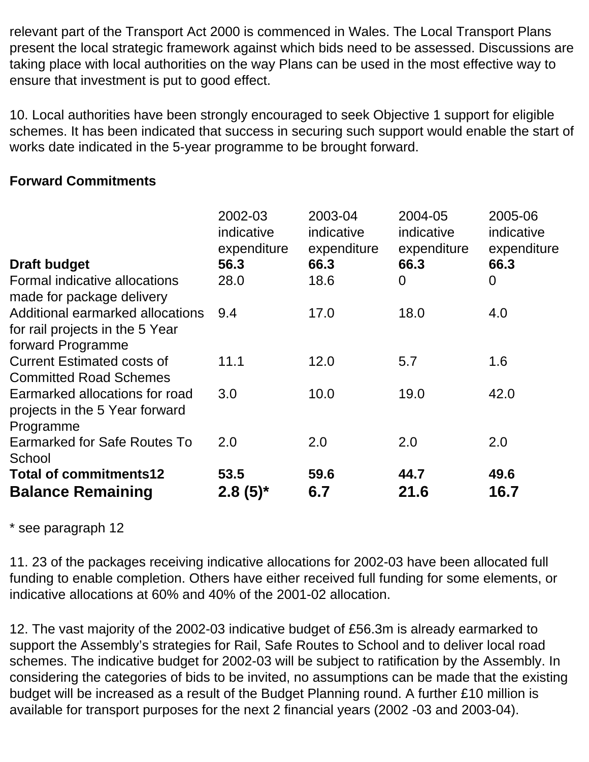relevant part of the Transport Act 2000 is commenced in Wales. The Local Transport Plans present the local strategic framework against which bids need to be assessed. Discussions are taking place with local authorities on the way Plans can be used in the most effective way to ensure that investment is put to good effect.

10. Local authorities have been strongly encouraged to seek Objective 1 support for eligible schemes. It has been indicated that success in securing such support would enable the start of works date indicated in the 5-year programme to be brought forward.

## **Forward Commitments**

|                                                                                          | 2002-03<br>indicative<br>expenditure | 2003-04<br>indicative<br>expenditure | 2004-05<br>indicative<br>expenditure | 2005-06<br>indicative<br>expenditure |
|------------------------------------------------------------------------------------------|--------------------------------------|--------------------------------------|--------------------------------------|--------------------------------------|
| <b>Draft budget</b>                                                                      | 56.3                                 | 66.3                                 | 66.3                                 | 66.3                                 |
| Formal indicative allocations<br>made for package delivery                               | 28.0                                 | 18.6                                 | $\overline{0}$                       | $\overline{0}$                       |
| Additional earmarked allocations<br>for rail projects in the 5 Year<br>forward Programme | 9.4                                  | 17.0                                 | 18.0                                 | 4.0                                  |
| <b>Current Estimated costs of</b><br><b>Committed Road Schemes</b>                       | 11.1                                 | 12.0                                 | 5.7                                  | 1.6                                  |
| Earmarked allocations for road<br>projects in the 5 Year forward<br>Programme            | 3.0                                  | 10.0                                 | 19.0                                 | 42.0                                 |
| Earmarked for Safe Routes To<br>School                                                   | 2.0                                  | 2.0                                  | 2.0                                  | 2.0                                  |
| <b>Total of commitments12</b><br><b>Balance Remaining</b>                                | 53.5<br>$2.8(5)^*$                   | 59.6<br>6.7                          | 44.7<br>21.6                         | 49.6<br>16.7                         |

## \* see paragraph 12

11. 23 of the packages receiving indicative allocations for 2002-03 have been allocated full funding to enable completion. Others have either received full funding for some elements, or indicative allocations at 60% and 40% of the 2001-02 allocation.

12. The vast majority of the 2002-03 indicative budget of £56.3m is already earmarked to support the Assembly's strategies for Rail, Safe Routes to School and to deliver local road schemes. The indicative budget for 2002-03 will be subject to ratification by the Assembly. In considering the categories of bids to be invited, no assumptions can be made that the existing budget will be increased as a result of the Budget Planning round. A further £10 million is available for transport purposes for the next 2 financial years (2002 -03 and 2003-04).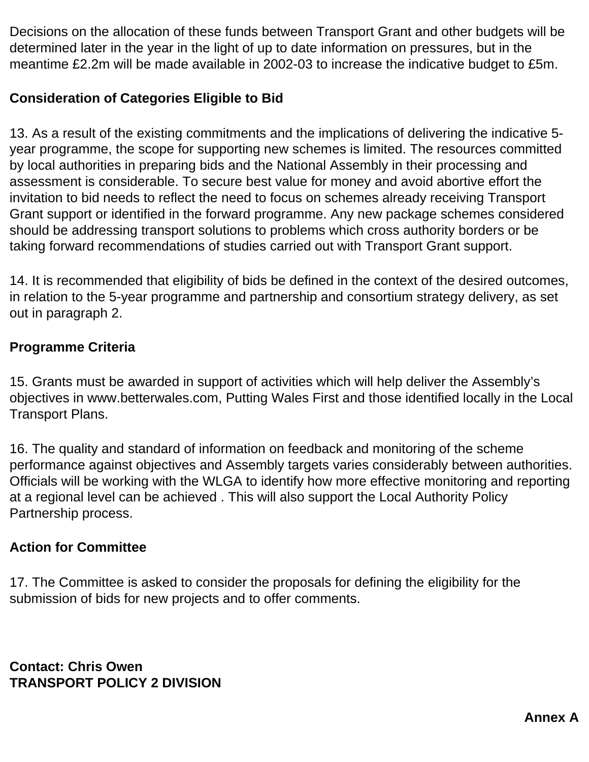Decisions on the allocation of these funds between Transport Grant and other budgets will be determined later in the year in the light of up to date information on pressures, but in the meantime £2.2m will be made available in 2002-03 to increase the indicative budget to £5m.

# **Consideration of Categories Eligible to Bid**

13. As a result of the existing commitments and the implications of delivering the indicative 5 year programme, the scope for supporting new schemes is limited. The resources committed by local authorities in preparing bids and the National Assembly in their processing and assessment is considerable. To secure best value for money and avoid abortive effort the invitation to bid needs to reflect the need to focus on schemes already receiving Transport Grant support or identified in the forward programme. Any new package schemes considered should be addressing transport solutions to problems which cross authority borders or be taking forward recommendations of studies carried out with Transport Grant support.

14. It is recommended that eligibility of bids be defined in the context of the desired outcomes, in relation to the 5-year programme and partnership and consortium strategy delivery, as set out in paragraph 2.

## **Programme Criteria**

15. Grants must be awarded in support of activities which will help deliver the Assembly's objectives in www.betterwales.com, Putting Wales First and those identified locally in the Local Transport Plans.

16. The quality and standard of information on feedback and monitoring of the scheme performance against objectives and Assembly targets varies considerably between authorities. Officials will be working with the WLGA to identify how more effective monitoring and reporting at a regional level can be achieved . This will also support the Local Authority Policy Partnership process.

## **Action for Committee**

17. The Committee is asked to consider the proposals for defining the eligibility for the submission of bids for new projects and to offer comments.

**Contact: Chris Owen TRANSPORT POLICY 2 DIVISION**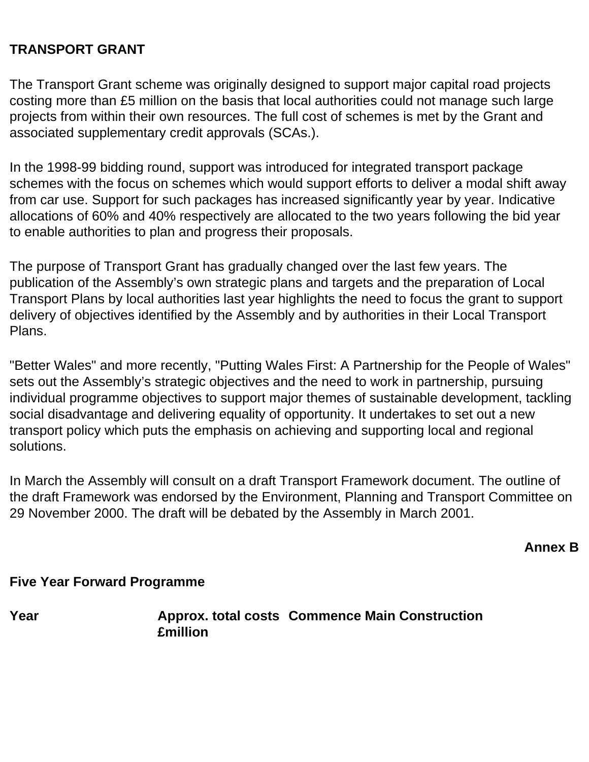#### **TRANSPORT GRANT**

The Transport Grant scheme was originally designed to support major capital road projects costing more than £5 million on the basis that local authorities could not manage such large projects from within their own resources. The full cost of schemes is met by the Grant and associated supplementary credit approvals (SCAs.).

In the 1998-99 bidding round, support was introduced for integrated transport package schemes with the focus on schemes which would support efforts to deliver a modal shift away from car use. Support for such packages has increased significantly year by year. Indicative allocations of 60% and 40% respectively are allocated to the two years following the bid year to enable authorities to plan and progress their proposals.

The purpose of Transport Grant has gradually changed over the last few years. The publication of the Assembly's own strategic plans and targets and the preparation of Local Transport Plans by local authorities last year highlights the need to focus the grant to support delivery of objectives identified by the Assembly and by authorities in their Local Transport Plans.

"Better Wales" and more recently, "Putting Wales First: A Partnership for the People of Wales" sets out the Assembly's strategic objectives and the need to work in partnership, pursuing individual programme objectives to support major themes of sustainable development, tackling social disadvantage and delivering equality of opportunity. It undertakes to set out a new transport policy which puts the emphasis on achieving and supporting local and regional solutions.

In March the Assembly will consult on a draft Transport Framework document. The outline of the draft Framework was endorsed by the Environment, Planning and Transport Committee on 29 November 2000. The draft will be debated by the Assembly in March 2001.

**Annex B**

#### **Five Year Forward Programme**

**Year Approx. total costs Commence Main Construction£million**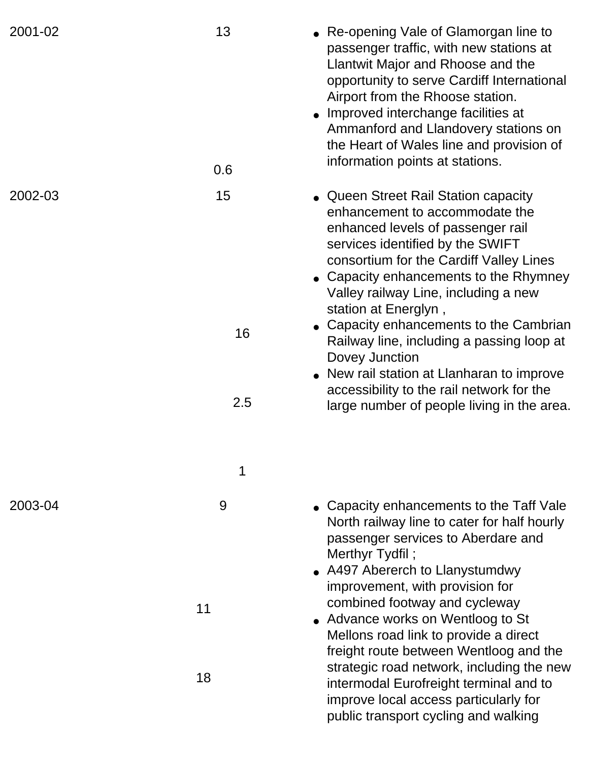| 2001-02 | 13  | • Re-opening Vale of Glamorgan line to<br>passenger traffic, with new stations at<br>Llantwit Major and Rhoose and the<br>opportunity to serve Cardiff International<br>Airport from the Rhoose station.<br>• Improved interchange facilities at<br>Ammanford and Llandovery stations on<br>the Heart of Wales line and provision of<br>information points at stations. |
|---------|-----|-------------------------------------------------------------------------------------------------------------------------------------------------------------------------------------------------------------------------------------------------------------------------------------------------------------------------------------------------------------------------|
|         | 0.6 |                                                                                                                                                                                                                                                                                                                                                                         |
| 2002-03 | 15  | • Queen Street Rail Station capacity<br>enhancement to accommodate the<br>enhanced levels of passenger rail<br>services identified by the SWIFT<br>consortium for the Cardiff Valley Lines<br>• Capacity enhancements to the Rhymney<br>Valley railway Line, including a new<br>station at Energlyn,                                                                    |
|         | 16  | • Capacity enhancements to the Cambrian<br>Railway line, including a passing loop at<br>Dovey Junction<br>• New rail station at Llanharan to improve<br>accessibility to the rail network for the                                                                                                                                                                       |
|         | 2.5 | large number of people living in the area.                                                                                                                                                                                                                                                                                                                              |
|         |     |                                                                                                                                                                                                                                                                                                                                                                         |
| 2003-04 | 9   | • Capacity enhancements to the Taff Vale<br>North railway line to cater for half hourly<br>passenger services to Aberdare and<br>Merthyr Tydfil;<br>• A497 Abererch to Llanystumdwy<br>improvement, with provision for                                                                                                                                                  |
|         | 11  | combined footway and cycleway<br>• Advance works on Wentloog to St<br>Mellons road link to provide a direct<br>freight route between Wentloog and the<br>strategic road network, including the new                                                                                                                                                                      |
|         | 18  | intermodal Eurofreight terminal and to<br>improve local access particularly for<br>public transport cycling and walking                                                                                                                                                                                                                                                 |